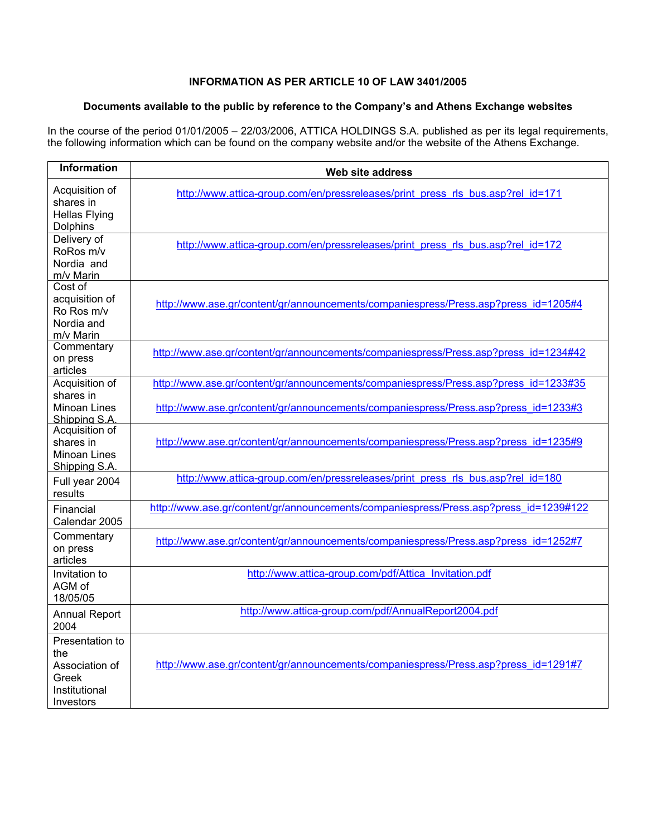## **INFORMATION AS PER ARTICLE 10 OF LAW 3401/2005**

## **Documents available to the public by reference to the Company's and Athens Exchange websites**

In the course of the period 01/01/2005 – 22/03/2006, ATTICA HOLDINGS S.Α. published as per its legal requirements, the following information which can be found on the company website and/or the website of the Athens Exchange.

| <b>Information</b>                                                              | Web site address                                                                      |
|---------------------------------------------------------------------------------|---------------------------------------------------------------------------------------|
| Acquisition of<br>shares in<br><b>Hellas Flying</b><br>Dolphins                 | http://www.attica-group.com/en/pressreleases/print press rls bus.asp?rel id=171       |
| Delivery of<br>RoRos m/v<br>Nordia and<br>m/v Marin                             | http://www.attica-group.com/en/pressreleases/print press rls bus.asp?rel id=172       |
| Cost of<br>acquisition of<br>Ro Ros m/v<br>Nordia and<br>m/v Marin              | http://www.ase.gr/content/gr/announcements/companiespress/Press.asp?press_id=1205#4   |
| Commentary<br>on press<br>articles                                              | http://www.ase.gr/content/gr/announcements/companiespress/Press.asp?press_id=1234#42  |
| Acquisition of                                                                  | http://www.ase.gr/content/gr/announcements/companiespress/Press.asp?press_id=1233#35  |
| shares in<br>Minoan Lines<br>Shipping S.A.                                      | http://www.ase.gr/content/gr/announcements/companiespress/Press.asp?press_id=1233#3   |
| Acquisition of<br>shares in<br>Minoan Lines<br>Shipping S.A.                    | http://www.ase.gr/content/gr/announcements/companiespress/Press.asp?press_id=1235#9   |
| Full year 2004<br>results                                                       | http://www.attica-group.com/en/pressreleases/print press rls bus.asp?rel id=180       |
| Financial<br>Calendar 2005                                                      | http://www.ase.gr/content/gr/announcements/companiespress/Press.asp?press_id=1239#122 |
| Commentary<br>on press<br>articles                                              | http://www.ase.gr/content/gr/announcements/companiespress/Press.asp?press_id=1252#7   |
| Invitation to<br>AGM of<br>18/05/05                                             | http://www.attica-group.com/pdf/Attica Invitation.pdf                                 |
| <b>Annual Report</b><br>2004                                                    | http://www.attica-group.com/pdf/AnnualReport2004.pdf                                  |
| Presentation to<br>the<br>Association of<br>Greek<br>Institutional<br>Investors | http://www.ase.gr/content/gr/announcements/companiespress/Press.asp?press_id=1291#7   |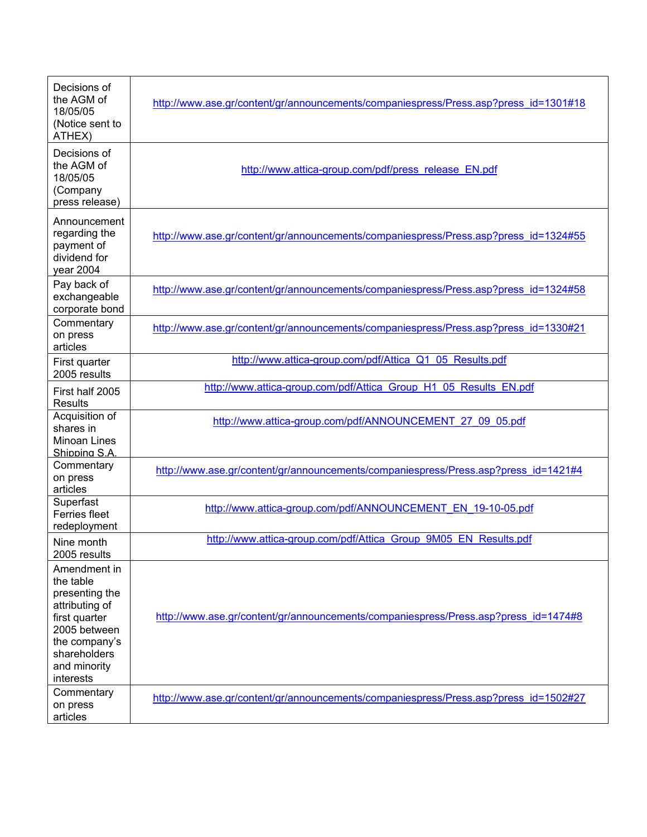| Decisions of<br>the AGM of<br>18/05/05<br>(Notice sent to<br>ATHEX)                                                                                          | http://www.ase.gr/content/gr/announcements/companiespress/Press.asp?press_id=1301#18 |
|--------------------------------------------------------------------------------------------------------------------------------------------------------------|--------------------------------------------------------------------------------------|
| Decisions of<br>the AGM of<br>18/05/05<br>(Company<br>press release)                                                                                         | http://www.attica-group.com/pdf/press_release_EN.pdf                                 |
| Announcement<br>regarding the<br>payment of<br>dividend for<br>year 2004                                                                                     | http://www.ase.gr/content/gr/announcements/companiespress/Press.asp?press_id=1324#55 |
| Pay back of<br>exchangeable<br>corporate bond                                                                                                                | http://www.ase.gr/content/gr/announcements/companiespress/Press.asp?press_id=1324#58 |
| Commentary<br>on press<br>articles                                                                                                                           | http://www.ase.gr/content/gr/announcements/companiespress/Press.asp?press_id=1330#21 |
| First quarter<br>2005 results                                                                                                                                | http://www.attica-group.com/pdf/Attica Q1 05 Results.pdf                             |
| First half 2005<br><b>Results</b>                                                                                                                            | http://www.attica-group.com/pdf/Attica Group H1 05 Results EN.pdf                    |
| Acquisition of<br>shares in<br>Minoan Lines<br>Shipping S.A.                                                                                                 | http://www.attica-group.com/pdf/ANNOUNCEMENT 27 09 05.pdf                            |
| Commentary<br>on press<br>articles                                                                                                                           | http://www.ase.gr/content/gr/announcements/companiespress/Press.asp?press_id=1421#4  |
| Superfast<br><b>Ferries fleet</b><br>redeployment                                                                                                            | http://www.attica-group.com/pdf/ANNOUNCEMENT EN 19-10-05.pdf                         |
| Nine month<br>2005 results                                                                                                                                   | http://www.attica-group.com/pdf/Attica Group 9M05 EN Results.pdf                     |
| Amendment in<br>the table<br>presenting the<br>attributing of<br>first quarter<br>2005 between<br>the company's<br>shareholders<br>and minority<br>interests | http://www.ase.gr/content/gr/announcements/companiespress/Press.asp?press_id=1474#8  |
| Commentary<br>on press<br>articles                                                                                                                           | http://www.ase.gr/content/gr/announcements/companiespress/Press.asp?press id=1502#27 |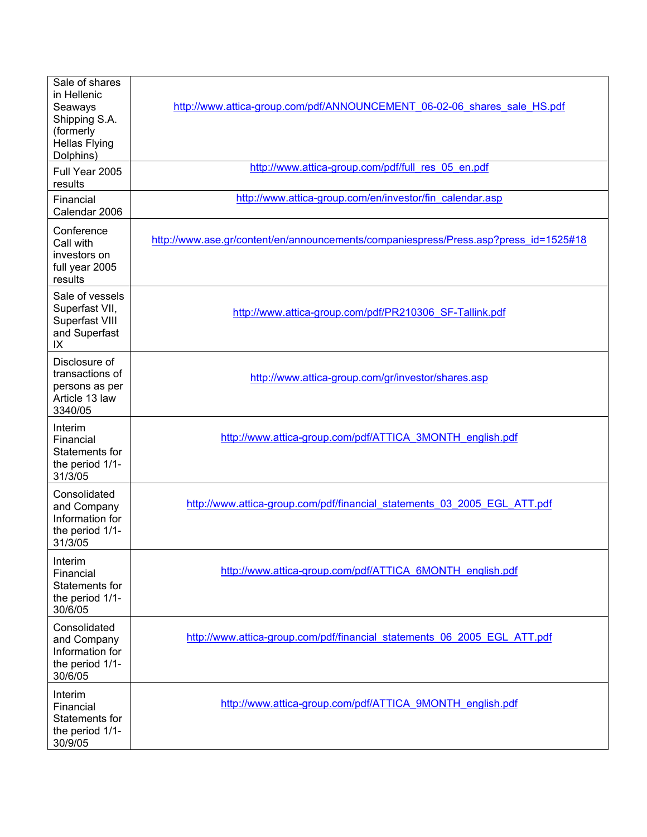| Sale of shares<br>in Hellenic<br>Seaways<br>Shipping S.A.<br>(formerly<br><b>Hellas Flying</b><br>Dolphins) | http://www.attica-group.com/pdf/ANNOUNCEMENT 06-02-06 shares sale HS.pdf             |
|-------------------------------------------------------------------------------------------------------------|--------------------------------------------------------------------------------------|
| Full Year 2005<br>results                                                                                   | http://www.attica-group.com/pdf/full res 05 en.pdf                                   |
| Financial<br>Calendar 2006                                                                                  | http://www.attica-group.com/en/investor/fin_calendar.asp                             |
| Conference<br>Call with<br>investors on<br>full year 2005<br>results                                        | http://www.ase.gr/content/en/announcements/companiespress/Press.asp?press_id=1525#18 |
| Sale of vessels<br>Superfast VII,<br>Superfast VIII<br>and Superfast<br>IX                                  | http://www.attica-group.com/pdf/PR210306 SF-Tallink.pdf                              |
| Disclosure of<br>transactions of<br>persons as per<br>Article 13 law<br>3340/05                             | http://www.attica-group.com/gr/investor/shares.asp                                   |
| Interim<br>Financial<br>Statements for<br>the period 1/1-<br>31/3/05                                        | http://www.attica-group.com/pdf/ATTICA 3MONTH english.pdf                            |
| Consolidated<br>and Company<br>Information for<br>the period 1/1-<br>31/3/05                                | http://www.attica-group.com/pdf/financial statements 03 2005 EGL ATT.pdf             |
| Interim<br>Financial<br>Statements for<br>the period 1/1-<br>30/6/05                                        | http://www.attica-group.com/pdf/ATTICA 6MONTH english.pdf                            |
| Consolidated<br>and Company<br>Information for<br>the period 1/1-<br>30/6/05                                | http://www.attica-group.com/pdf/financial statements 06 2005 EGL ATT.pdf             |
| Interim<br>Financial<br>Statements for<br>the period 1/1-<br>30/9/05                                        | http://www.attica-group.com/pdf/ATTICA 9MONTH english.pdf                            |